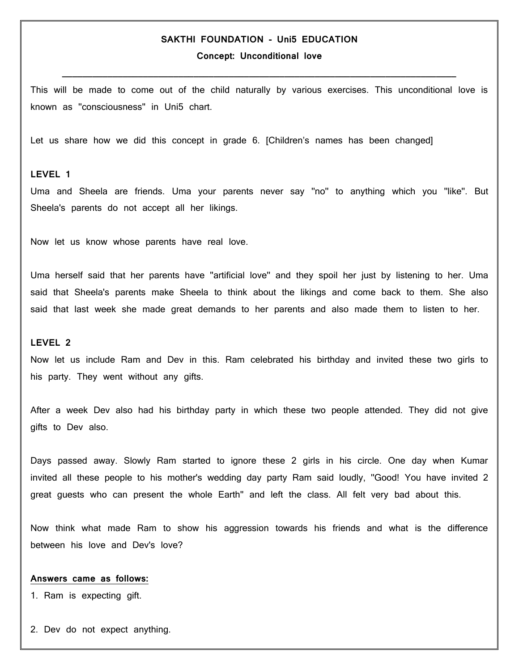# **SAKTHI FOUNDATION - Uni5 EDUCATION**

**Concept: Unconditional love**

This will be made to come out of the child naturally by various exercises. This unconditional love is known as ''consciousness'' in Uni5 chart.

**\_\_\_\_\_\_\_\_\_\_\_\_\_\_\_\_\_\_\_\_\_\_\_\_\_\_\_\_\_\_\_\_\_\_\_\_\_\_\_\_\_\_\_\_\_\_\_\_\_\_\_\_\_\_\_\_\_\_\_\_\_\_\_\_\_\_\_\_\_\_\_\_\_\_\_\_\_\_**

Let us share how we did this concept in grade 6. [Children's names has been changed]

## **LEVEL 1**

Uma and Sheela are friends. Uma your parents never say ''no'' to anything which you ''like''. But Sheela's parents do not accept all her likings.

Now let us know whose parents have real love.

Uma herself said that her parents have ''artificial love'' and they spoil her just by listening to her. Uma said that Sheela's parents make Sheela to think about the likings and come back to them. She also said that last week she made great demands to her parents and also made them to listen to her.

### **LEVEL 2**

Now let us include Ram and Dev in this. Ram celebrated his birthday and invited these two girls to his party. They went without any gifts.

After a week Dev also had his birthday party in which these two people attended. They did not give gifts to Dev also.

Days passed away. Slowly Ram started to ignore these 2 girls in his circle. One day when Kumar invited all these people to his mother's wedding day party Ram said loudly, ''Good! You have invited 2 great guests who can present the whole Earth'' and left the class. All felt very bad about this.

Now think what made Ram to show his aggression towards his friends and what is the difference between his love and Dev's love?

#### **Answers came as follows:**

1. Ram is expecting gift.

2. Dev do not expect anything.